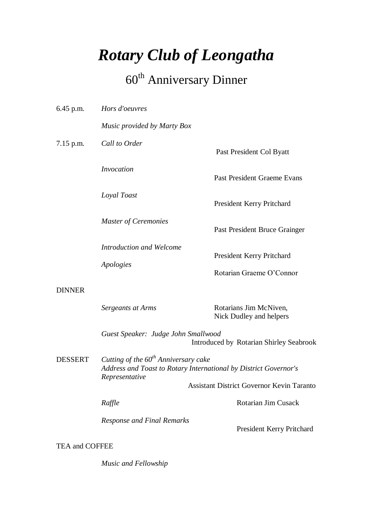# *Rotary Club of Leongatha*

# 60<sup>th</sup> Anniversary Dinner

| $6.45$ p.m.           | Hors d'oeuvres                                                                                                               |                                                   |  |
|-----------------------|------------------------------------------------------------------------------------------------------------------------------|---------------------------------------------------|--|
|                       | Music provided by Marty Box                                                                                                  |                                                   |  |
| $7.15$ p.m.           | Call to Order                                                                                                                | Past President Col Byatt                          |  |
|                       | <i>Invocation</i>                                                                                                            | <b>Past President Graeme Evans</b>                |  |
|                       | Loyal Toast                                                                                                                  | President Kerry Pritchard                         |  |
|                       | <b>Master of Ceremonies</b>                                                                                                  | Past President Bruce Grainger                     |  |
|                       | Introduction and Welcome<br>Apologies                                                                                        | President Kerry Pritchard                         |  |
|                       |                                                                                                                              | Rotarian Graeme O'Connor                          |  |
| <b>DINNER</b>         |                                                                                                                              |                                                   |  |
|                       | Sergeants at Arms                                                                                                            | Rotarians Jim McNiven,<br>Nick Dudley and helpers |  |
|                       | Guest Speaker: Judge John Smallwood<br>Introduced by Rotarian Shirley Seabrook                                               |                                                   |  |
| <b>DESSERT</b>        | Cutting of the $60th$ Anniversary cake<br>Address and Toast to Rotary International by District Governor's<br>Representative |                                                   |  |
|                       |                                                                                                                              | Assistant District Governor Kevin Taranto         |  |
|                       | Raffle                                                                                                                       | <b>Rotarian Jim Cusack</b>                        |  |
|                       | <b>Response and Final Remarks</b>                                                                                            | President Kerry Pritchard                         |  |
| <b>TEA and COFFEE</b> |                                                                                                                              |                                                   |  |

*Music and Fellowship*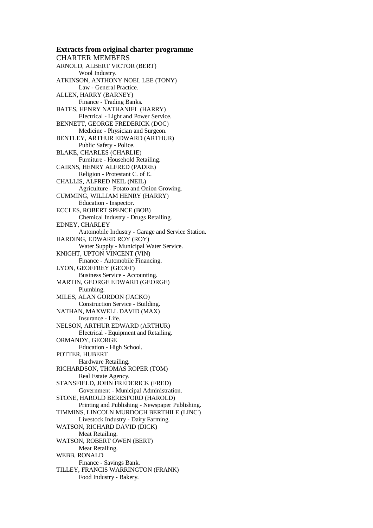**Extracts from original charter programme** CHARTER MEMBERS ARNOLD, ALBERT VICTOR (BERT) Wool Industry. ATKINSON, ANTHONY NOEL LEE (TONY) Law - General Practice. ALLEN, HARRY (BARNEY) Finance - Trading Banks. BATES, HENRY NATHANIEL (HARRY) Electrical - Light and Power Service. BENNETT, GEORGE FREDERICK (DOC) Medicine - Physician and Surgeon. BENTLEY, ARTHUR EDWARD (ARTHUR) Public Safety - Police. BLAKE, CHARLES (CHARLIE) Furniture - Household Retailing. CAIRNS, HENRY ALFRED (PADRE) Religion - Protestant C. of E. CHALLIS, ALFRED NEIL (NEIL) Agriculture - Potato and Onion Growing. CUMMING, WILLIAM HENRY (HARRY) Education - Inspector. ECCLES, ROBERT SPENCE (BOB) Chemical Industry - Drugs Retailing. EDNEY, CHARLEY Automobile Industry - Garage and Service Station. HARDING, EDWARD ROY (ROY) Water Supply - Municipal Water Service. KNIGHT, UPTON VINCENT (VIN) Finance - Automobile Financing. LYON, GEOFFREY (GEOFF) Business Service - Accounting. MARTIN, GEORGE EDWARD (GEORGE) Plumbing. MILES, ALAN GORDON (JACKO) Construction Service - Building. NATHAN, MAXWELL DAVID (MAX) Insurance - Life. NELSON, ARTHUR EDWARD (ARTHUR) Electrical - Equipment and Retailing. ORMANDY, GEORGE Education - High School. POTTER, HUBERT Hardware Retailing. RICHARDSON, THOMAS ROPER (TOM) Real Estate Agency. STANSFIELD, JOHN FREDERICK (FRED) Government - Municipal Administration. STONE, HAROLD BERESFORD (HAROLD) Printing and Publishing - Newspaper Publishing. TIMMINS, LINCOLN MURDOCH BERTHILE (LINC') Livestock Industry - Dairy Farming. WATSON, RICHARD DAVID (DICK) Meat Retailing. WATSON, ROBERT OWEN (BERT) Meat Retailing. WEBB, RONALD Finance - Savings Bank. TILLEY, FRANCIS WARRINGTON (FRANK) Food Industry - Bakery.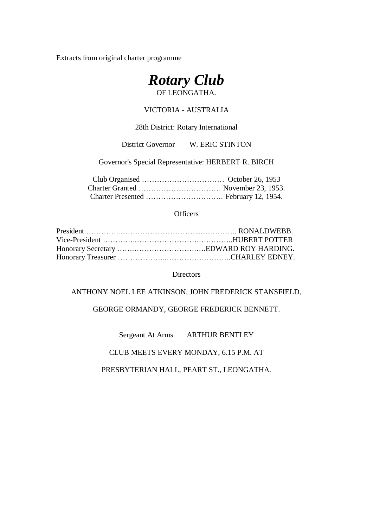Extracts from original charter programme



#### VICTORIA - AUSTRALIA

28th District: Rotary International

District Governor W. ERIC STINTON

Governor's Special Representative: HERBERT R. BIRCH

#### **Officers**

#### **Directors**

ANTHONY NOEL LEE ATKINSON, JOHN FREDERICK STANSFIELD,

GEORGE ORMANDY, GEORGE FREDERICK BENNETT.

Sergeant At Arms ARTHUR BENTLEY

CLUB MEETS EVERY MONDAY, 6.15 P.M. AT

PRESBYTERIAN HALL, PEART ST., LEONGATHA.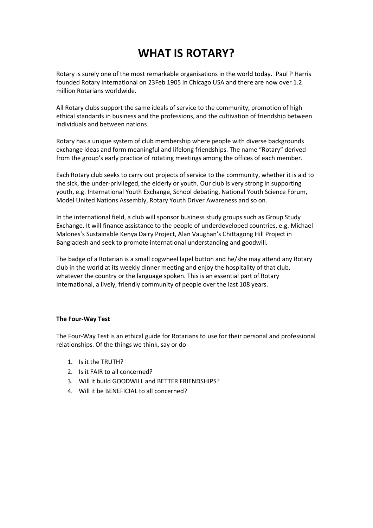# **WHAT IS ROTARY?**

Rotary is surely one of the most remarkable organisations in the world today. Paul P Harris founded Rotary International on 23Feb 1905 in Chicago USA and there are now over 1.2 million Rotarians worldwide.

All Rotary clubs support the same ideals of service to the community, promotion of high ethical standards in business and the professions, and the cultivation of friendship between individuals and between nations.

Rotary has a unique system of club membership where people with diverse backgrounds exchange ideas and form meaningful and lifelong friendships. The name "Rotary" derived from the group's early practice of rotating meetings among the offices of each member.

Each Rotary club seeks to carry out projects of service to the community, whether it is aid to the sick, the under-privileged, the elderly or youth. Our club is very strong in supporting youth, e.g. International Youth Exchange, School debating, National Youth Science Forum, Model United Nations Assembly, Rotary Youth Driver Awareness and so on.

In the international field, a club will sponsor business study groups such as Group Study Exchange. It will finance assistance to the people of underdeveloped countries, e.g. Michael Malones's Sustainable Kenya Dairy Project, Alan Vaughan's Chittagong Hill Project in Bangladesh and seek to promote international understanding and goodwill.

The badge of a Rotarian is a small cogwheel lapel button and he/she may attend any Rotary club in the world at its weekly dinner meeting and enjoy the hospitality of that club, whatever the country or the language spoken. This is an essential part of Rotary International, a lively, friendly community of people over the last 108 years.

#### **The Four-Way Test**

The Four-Way Test is an ethical guide for Rotarians to use for their personal and professional relationships. Of the things we think, say or do

- 1. Is it the TRUTH?
- 2. Is it FAIR to all concerned?
- 3. Will it build GOODWILL and BETTER FRIENDSHIPS?
- 4. Will it be BENEFICIAL to all concerned?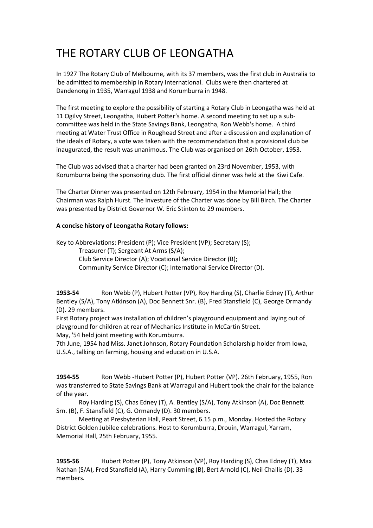# THE ROTARY CLUB OF LEONGATHA

In 1927 The Rotary Club of Melbourne, with its 37 members, was the first club in Australia to 'be admitted to membership in Rotary International. Clubs were then chartered at Dandenong in 1935, Warragul 1938 and Korumburra in 1948.

The first meeting to explore the possibility of starting a Rotary Club in Leongatha was held at 11 Ogilvy Street, Leongatha, Hubert Potter's home. A second meeting to set up a subcommittee was held in the State Savings Bank, Leongatha, Ron Webb's home. A third meeting at Water Trust Office in Roughead Street and after a discussion and explanation of the ideals of Rotary, a vote was taken with the recommendation that a provisional club be inaugurated, the result was unanimous. The Club was organised on 26th October, 1953.

The Club was advised that a charter had been granted on 23rd November, 1953, with Korumburra being the sponsoring club. The first official dinner was held at the Kiwi Cafe.

The Charter Dinner was presented on 12th February, 1954 in the Memorial Hall; the Chairman was Ralph Hurst. The Investure of the Charter was done by Bill Birch. The Charter was presented by District Governor W. Eric Stinton to 29 members.

#### **A concise history of Leongatha Rotary follows:**

Key to Abbreviations: President (P); Vice President (VP); Secretary (S); Treasurer (T); Sergeant At Arms (S/A); Club Service Director (A); Vocational Service Director (B); Community Service Director (C); International Service Director (D).

**1953-54** Ron Webb (P), Hubert Potter (VP), Roy Harding (S), Charlie Edney (T), Arthur Bentley (S/A), Tony Atkinson (A), Doc Bennett Snr. (B), Fred Stansfield (C), George Ormandy (D). 29 members.

First Rotary project was installation of children's playground equipment and laying out of playground for children at rear of Mechanics Institute in McCartin Street.

May, '54 held joint meeting with Korumburra.

7th June, 1954 had Miss. Janet Johnson, Rotary Foundation Scholarship holder from Iowa, U.S.A., talking on farming, housing and education in U.S.A.

**1954-55** Ron Webb -Hubert Potter (P), Hubert Potter (VP). 26th February, 1955, Ron was transferred to State Savings Bank at Warragul and Hubert took the chair for the balance of the year.

Roy Harding (S), Chas Edney (T), A. Bentley (S/A), Tony Atkinson (A), Doc Bennett Srn. (B), F. Stansfield (C), G. Ormandy (D). 30 members.

Meeting at Presbyterian Hall, Peart Street, 6.15 p.m., Monday. Hosted the Rotary District Golden Jubilee celebrations. Host to Korumburra, Drouin, Warragul, Yarram, Memorial Hall, 25th February, 1955.

**1955-56** Hubert Potter (P), Tony Atkinson (VP), Roy Harding (S), Chas Edney (T), Max Nathan (S/A), Fred Stansfield (A), Harry Cumming (B), Bert Arnold (C), Neil Challis (D). 33 members.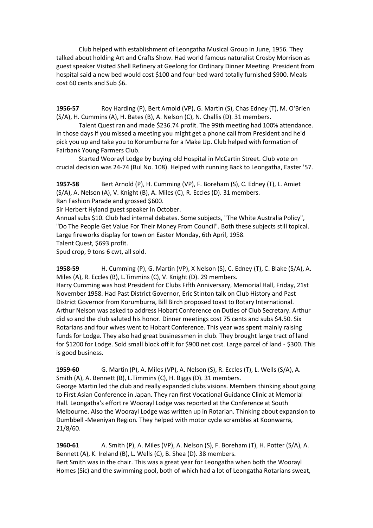Club helped with establishment of Leongatha Musical Group in June, 1956. They talked about holding Art and Crafts Show. Had world famous naturalist Crosby Morrison as guest speaker Visited Shell Refinery at Geelong for Ordinary Dinner Meeting. President from hospital said a new bed would cost \$100 and four-bed ward totally furnished \$900. Meals cost 60 cents and Sub \$6.

**1956-57** Roy Harding (P), Bert Arnold (VP), G. Martin (S), Chas Edney (T), M. O'Brien (S/A), H. Cummins (A), H. Bates (B), A. Nelson (C), N. Challis (D). 31 members.

Talent Quest ran and made \$236.74 profit. The 99th meeting had 100% attendance. In those days if you missed a meeting you might get a phone call from President and he'd pick you up and take you to Korumburra for a Make Up. Club helped with formation of Fairbank Young Farmers Club.

Started Woorayl Lodge by buying old Hospital in McCartin Street. Club vote on crucial decision was 24-74 (Bul No. 108). Helped with running Back to Leongatha, Easter '57.

**1957-58** Bert Arnold (P), H. Cumming (VP), F. Boreham (S), C. Edney (T), L. Amiet (S/A), A. Nelson (A), V. Knight (B), A. Miles (C), R. Eccles (D). 31 members. Ran Fashion Parade and grossed \$600.

Sir Herbert Hyland guest speaker in October.

Annual subs \$10. Club had internal debates. Some subjects, "The White Australia Policy", "Do The People Get Value For Their Money From Council". Both these subjects still topical. Large fireworks display for town on Easter Monday, 6th April, 1958.

Talent Quest, \$693 profit.

Spud crop, 9 tons 6 cwt, all sold.

**1958-59** H. Cumming (P), G. Martin (VP), X Nelson (S), C. Edney (T), C. Blake (S/A), A. Miles (A), R. Eccles (B), L.Timmins (C), V. Knight (D). 29 members.

Harry Cumming was host President for Clubs Fifth Anniversary, Memorial Hall, Friday, 21st November 1958. Had Past District Governor, Eric Stinton talk on Club History and Past District Governor from Korumburra, Bill Birch proposed toast to Rotary International. Arthur Nelson was asked to address Hobart Conference on Duties of Club Secretary. Arthur did so and the club saluted his honor. Dinner meetings cost 75 cents and subs \$4.50. Six Rotarians and four wives went to Hobart Conference. This year was spent mainly raising funds for Lodge. They also had great businessmen in club. They brought large tract of land for \$1200 for Lodge. Sold small block off it for \$900 net cost. Large parcel of land - \$300. This is good business.

**1959-60** G. Martin (P), A. Miles (VP), A. Nelson (S), R. Eccles (T), L. Wells (S/A), A. Smith (A), A. Bennett (B), L.Timmins (C), H. Biggs (D). 31 members.

George Martin led the club and really expanded clubs visions. Members thinking about going to First Asian Conference in Japan. They ran first Vocational Guidance Clinic at Memorial Hall. Leongatha's effort re Woorayl Lodge was reported at the Conference at South Melbourne. Also the Woorayl Lodge was written up in Rotarian. Thinking about expansion to Dumbbell -Meeniyan Region. They helped with motor cycle scrambles at Koonwarra, 21/8/60.

**1960-61** A. Smith (P), A. Miles (VP), A. Nelson (S), F. Boreham (T), H. Potter (S/A), A. Bennett (A), K. Ireland (B), L. Wells (C), B. Shea (D). 38 members. Bert Smith was in the chair. This was a great year for Leongatha when both the Woorayl Homes (Sic) and the swimming pool, both of which had a lot of Leongatha Rotarians sweat,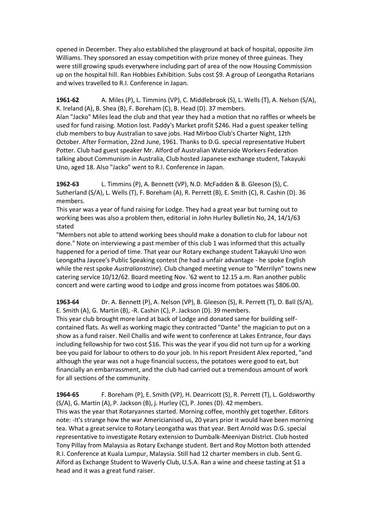opened in December. They also established the playground at back of hospital, opposite Jim Williams. They sponsored an essay competition with prize money of three guineas. They were still growing spuds everywhere including part of area of the now Housing Commission up on the hospital hill. Ran Hobbies Exhibition. Subs cost \$9. A group of Leongatha Rotarians and wives travelled to R.I. Conference in Japan.

**1961-62** A. Miles (P), L. Timmins (VP), C. Middlebrook (S), L. Wells (T), A. Nelson (S/A), K. Ireland (A), B. Shea (B), F. Boreham (C), B. Head (D). 37 members. Alan "Jacko" Miles lead the club and that year they had a motion that no raffles or wheels be used for fund raising. Motion lost. Paddy's Market profit \$246. Had a guest speaker telling club members to buy Australian to save jobs. Had Mirboo Club's Charter Night, 12th October. After Formation, 22nd June, 1961. Thanks to D.G. special representative Hubert Potter. Club had guest speaker Mr. Alford of Australian Waterside Workers Federation talking about Communism in Australia, Club hosted Japanese exchange student, Takayuki Uno, aged 18. Also "Jacko" went to R.I. Conference in Japan.

**1962-63** L. Timmins (P), A. Bennett (VP), N.D. McFadden & B. Gleeson (S), C. Sutherland (S/A), L. Wells (T), F. Boreham (A), R. Perrett (B), E. Smith (C), R. Cashin (D). 36 members.

This year was a year of fund raising for Lodge. They had a great year but turning out to working bees was also a problem then, editorial in John Hurley Bulletin No, 24, 14/1/63 stated

"Members not able to attend working bees should make a donation to club for labour not done." Note on interviewing a past member of this club 1 was informed that this actually happened for a period of time. That year our Rotary exchange student Takayuki Uno won Leongatha Jaycee's Public Speaking contest (he had a unfair advantage - he spoke English while the rest spoke *Australianstrine*). Club changed meeting venue to "Merrilyn" towns new catering service 10/12/62. Board meeting Nov. '62 went to 12.15 a.m. Ran another public concert and were carting wood to Lodge and gross income from potatoes was \$806.00.

**1963-64** Dr. A. Bennett (P), A. Nelson (VP), B. Gleeson (S), R. Perrett (T), D. Ball (S/A), E. Smith (A), G. Martin (B), -R. Cashin (C), P. Jackson (D). 39 members. This year club brought more land at back of Lodge and donated same for building selfcontained flats. As well as working magic they contracted "Dante" the magician to put on a show as a fund raiser. Neil Challis and wife went to conference at Lakes Entrance, four days including fellowship for two cost \$16. This was the year if you did not turn up for a working bee you paid for labour to others to do your job. In his report President Alex reported, "and although the year was not a huge financial success, the potatoes were good to eat, but financially an embarrassment, and the club had carried out a tremendous amount of work for all sections of the community.

**1964-65** F. Boreham (P), E. Smith (VP), H. Dearricott (S), R. Perrett (T), L. Goldsworthy (S/A), G. Martin (A), P. Jackson (B), j. Hurley (C), P. Jones (D). 42 members. This was the year that Rotaryannes started. Morning coffee, monthly get together. Editors note: -It's strange how the war Americianised us, 20 years prior it would have been morning tea. What a great service to Rotary Leongatha was that year. Bert Arnold was D.G. special representative to investigate Rotary extension to Dumbalk-Meeniyan District. Club hosted Tony Pillay from Malaysia as Rotary Exchange student. Bert and Roy Motton both attended R.I. Conference at Kuala Lumpur, Malaysia. Still had 12 charter members in club. Sent G. Alford as Exchange Student to Waverly Club, U.S.A. Ran a wine and cheese tasting at \$1 a head and it was a great fund raiser.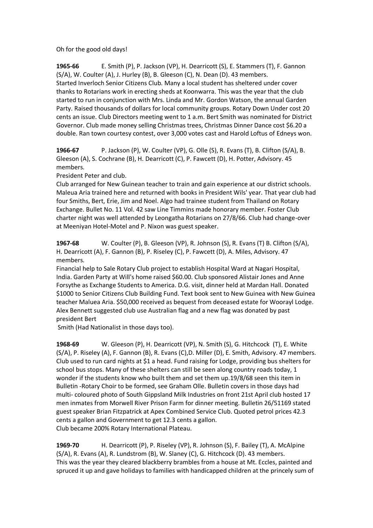Oh for the good old days!

**1965-66** E. Smith (P), P. Jackson (VP), H. Dearricott (S), E. Stammers (T), F. Gannon (S/A), W. Coulter (A), J. Hurley (B), B. Gleeson (C), N. Dean (D). 43 members. Started Inverloch Senior Citizens Club. Many a local student has sheltered under cover thanks to Rotarians work in erecting sheds at Koonwarra. This was the year that the club started to run in conjunction with Mrs. Linda and Mr. Gordon Watson, the annual Garden Party. Raised thousands of dollars for local community groups. Rotary Down Under cost 20 cents an issue. Club Directors meeting went to 1 a.m. Bert Smith was nominated for District Governor. Club made money selling Christmas trees, Christmas Dinner Dance cost \$6.20 a double. Ran town courtesy contest, over 3,000 votes cast and Harold Loftus of Edneys won.

**1966-67** P. Jackson (P), W. Coulter (VP), G. Olle (S), R. Evans (T), B. Clifton (S/A), B. Gleeson (A), S. Cochrane (B), H. Dearricott (C), P. Fawcett (D), H. Potter, Advisory. 45 members.

President Peter and club.

Club arranged for New Guinean teacher to train and gain experience at our district schools. Maleua Aria trained here and returned with books in President Wils' year. That year club had four Smiths, Bert, Erie, Jim and Noel. Algo had trainee student from Thailand on Rotary Exchange. Bullet No. 11 Vol. 42 saw Line Timmins made honorary member. Foster Club charter night was well attended by Leongatha Rotarians on 27/8/66. Club had change-over at Meeniyan Hotel-Motel and P. Nixon was guest speaker.

**1967-68** W. Coulter (P), B. Gleeson (VP), R. Johnson (S), R. Evans (T) B. Clifton (S/A), H. Dearricott (A), F. Gannon (B), P. Riseley (C), P. Fawcett (D), A. Miles, Advisory. 47 members.

Financial help to Sale Rotary Club project to establish Hospital Ward at Nagari Hospital, India. Garden Party at Will's home raised \$60.00. Club sponsored Alistair Jones and Anne Forsythe as Exchange Students to America. D.G. visit, dinner held at Mardan Hall. Donated \$1000 to Senior Citizens Club Building Fund. Text book sent to New Guinea with New Guinea teacher Maluea Aria. \$50,000 received as bequest from deceased estate for Woorayl Lodge. Alex Bennett suggested club use Australian flag and a new flag was donated by past president Bert

Smith (Had Nationalist in those days too).

**1968-69** W. Gleeson (P), H. Dearricott (VP), N. Smith (S), G. Hitchcock (T), E. White (S/A), P. Riseley (A), F. Gannon (B), R. Evans (C),D. Miller (D), E. Smith, Advisory. 47 members. Club used to run card nights at \$1 a head. Fund raising for Lodge, providing bus shelters for school bus stops. Many of these shelters can still be seen along country roads today, 1 wonder if the students know who built them and set them up.19/8/68 seen this item in Bulletin -Rotary Choir to be formed, see Graham Olle. Bulletin covers in those days had multi- coloured photo of South Gippsland Milk Industries on front 21st April club hosted 17 men inmates from Morwell River Prison Farm for dinner meeting. Bulletin 26/51169 stated guest speaker Brian Fitzpatrick at Apex Combined Service Club. Quoted petrol prices 42.3 cents a gallon and Government to get 12.3 cents a gallon. Club became 200% Rotary International Plateau.

**1969-70** H. Dearricott (P), P. Riseley (VP), R. Johnson (S), F. Bailey (T), A. McAlpine (S/A), R. Evans (A), R. Lundstrom (B), W. Slaney (C), G. Hitchcock (D). 43 members. This was the year they cleared blackberry brambles from a house at Mt. Eccles, painted and spruced it up and gave holidays to families with handicapped children at the princely sum of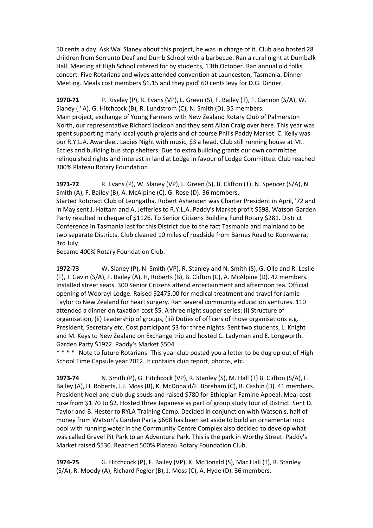50 cents a day. Ask Wal Slaney about this project, he was in charge of it. Club also hosted 28 children from Sorrento Deaf and Dumb School with a barbecue. Ran a rural night at Dumbalk Hall. Meeting at High School catered for by students, 13th October. Ran annual old folks concert. Five Rotarians and wives attended convention at Launceston, Tasmania. Dinner Meeting. Meals cost members \$1.15 and they paid' 60 cents levy for D.G. Dinner.

**1970-71** P. Riseley (P), R. Evans (VP), L. Green (S), F. Bailey (T), F. Gannon (S/A), W. Slaney ( ' A), G. Hitchcock (B), R. Lundstrom (C), N. Smith (D). 35 members. Main project, exchange of Young Farmers with New Zealand Rotary Club of Palmerston North, our representative Richard Jackson and they sent Allan Craig over here. This year was spent supporting many local youth projects and of course Phil's Paddy Market. C. Kelly was our R.Y.L.A. Awardee.. Ladies Night with music, \$3 a head. Club still running house at Mt. Eccles and building bus stop shelters. Due to extra building grants our own committee relinquished rights and interest in land at Lodge in favour of Lodge Committee. Club reached 300% Plateau Rotary Foundation.

**1971-72** R. Evans (P), W. Slaney (VP), L. Green (S), B. Clifton (T), N. Spencer (S/A), N. Smith (A), F. Bailey (B), A. McAlpine (C), G. Rose (D). 36 members.

Started Rotoract Club of Leongatha. Robert Ashenden was Charter President in April, '72 and in May sent J. Hattam and A, Jefferies to R.Y.L.A. Paddy's Market profit \$598. Watson Garden Party resulted in cheque of \$1126. To Senior Citizens Building Fund Rotary \$281. District Conference in Tasmania last for this District due to the fact Tasmania and mainland to be two separate Districts. Club cleaned 10 miles of roadside from Barnes Road to Koonwarra, 3rd July.

Became 400% Rotary Foundation Club.

**1972-73** W. Slaney (P), N. Smith (VP), R. Stanley and N. Smith (S), G. Olle and R. Leslie (T), J. Gavin (S/A), F. Bailey (A), H, Roberts (B), B. Clifton (C), A. McAlpine (D). 42 members. Installed street seats. 300 Senior Citizens attend entertainment and afternoon tea. Official opening of Woorayl Lodge. Raised \$2475.00 for medical treatment and travel for Jamie Taylor to New Zealand for heart surgery. Ran several community education ventures. 110 attended a dinner on taxation cost \$5. A three night supper series: (i) Structure of organisation, (ii) Leadership of groups, (iii) Duties of officers of those organisations e.g. President, Secretary etc. Cost participant \$3 for three nights. Sent two students, L. Knight and M. Keys to New Zealand on Exchange trip and hosted C. Ladyman and E. Longworth. Garden Party \$1972. Paddy's Market \$504.

\*\*\*\* Note to future Rotarians. This year club posted you a letter to be dug up out of High School Time Capsule year 2012. It contains club report, photos, etc.

**1973-74** N. Smith (P), G. Hitchcock (VP), R. Stanley (S), M. Hall (T) B. Clifton (S/A), F. Bailey (A), H. Roberts, J.J. Moss (B), K. McDonald/F. Boreham (C), R. Cashin (D). 41 members. President Noel and club dug spuds and raised \$780 for Ethiopian Famine Appeal. Meal cost rose from \$1.70 to \$2. Hosted three Japanese as part of group study tour of District. Sent D. Taylor and B. Hester to RYLA Training Camp. Decided in conjunction with Watson's, half of money from Watson's Garden Party \$668 has been set aside to build an ornamental rock pool with running water in the Community Centre Complex also decided to develop what was called Gravel Pit Park to an Adventure Park. This is the park in Worthy Street. Paddy's Market raised \$530. Reached 500% Plateau Rotary Foundation Club.

**1974-75** G. Hitchcock (P), F. Bailey (VP), K. McDonald (S), Mac Hall (T), R. Stanley (S/A), R. Moody (A), Richard Pegler (B), J. Moss (C), A. Hyde (D). 36 members.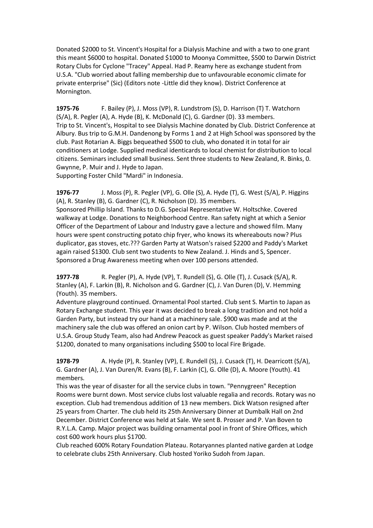Donated \$2000 to St. Vincent's Hospital for a Dialysis Machine and with a two to one grant this meant \$6000 to hospital. Donated \$1000 to Moonya Committee, \$500 to Darwin District Rotary Clubs for Cyclone "Tracey" Appeal. Had P. Reamy here as exchange student from U.S.A. "Club worried about falling membership due to unfavourable economic climate for private enterprise" (Sic) (Editors note -Little did they know). District Conference at Mornington.

**1975-76** F. Bailey (P), J. Moss (VP), R. Lundstrom (S), D. Harrison (T) T. Watchorn (S/A), R. Pegler (A), A. Hyde (B), K. McDonald (C), G. Gardner (D). 33 members. Trip to St. Vincent's, Hospital to see Dialysis Machine donated by Club. District Conference at Albury. Bus trip to G.M.H. Dandenong by Forms 1 and 2 at High School was sponsored by the club. Past Rotarian A. Biggs bequeathed \$500 to club, who donated it in total for air conditioners at Lodge. Supplied medical identicards to local chemist for distribution to local citizens. Seminars included small business. Sent three students to New Zealand, R. Binks, 0. Gwynne, P. Muir and J. Hyde to Japan.

Supporting Foster Child "Mardi" in Indonesia.

**1976-77** J. Moss (P), R. Pegler (VP), G. Olle (S), A. Hyde (T), G. West (S/A), P. Higgins (A), R. Stanley (B), G. Gardner (C), R. Nicholson (D). 35 members.

Sponsored Phillip Island. Thanks to D.G. Special Representative W. Holtschke. Covered walkway at Lodge. Donations to Neighborhood Centre. Ran safety night at which a Senior Officer of the Department of Labour and Industry gave a lecture and showed film. Many hours were spent constructing potato chip fryer, who knows its whereabouts now? Plus duplicator, gas stoves, etc.??? Garden Party at Watson's raised \$2200 and Paddy's Market again raised \$1300. Club sent two students to New Zealand. J. Hinds and S, Spencer. Sponsored a Drug Awareness meeting when over 100 persons attended.

**1977-78** R. Pegler (P), A. Hyde (VP), T. Rundell (S), G. Olle (T), J. Cusack (S/A), R. Stanley (A), F. Larkin (B), R. Nicholson and G. Gardner (C), J. Van Duren (D), V. Hemming (Youth). 35 members.

Adventure playground continued. Ornamental Pool started. Club sent S. Martin to Japan as Rotary Exchange student. This year it was decided to break a long tradition and not hold a Garden Party, but instead try our hand at a machinery sale. \$900 was made and at the machinery sale the club was offered an onion cart by P. Wilson. Club hosted members of U.S.A. Group Study Team, also had Andrew Peacock as guest speaker Paddy's Market raised \$1200, donated to many organisations including \$500 to local Fire Brigade.

**1978-79** A. Hyde (P), R. Stanley (VP), E. Rundell (S), J. Cusack (T), H. Dearricott (S/A), G. Gardner (A), J. Van Duren/R. Evans (B), F. Larkin (C), G. Olle (D), A. Moore (Youth). 41 members.

This was the year of disaster for all the service clubs in town. "Pennygreen" Reception Rooms were burnt down. Most service clubs lost valuable regalia and records. Rotary was no exception. Club had tremendous addition of 13 new members. Dick Watson resigned after 25 years from Charter. The club held its 25th Anniversary Dinner at Dumbalk Hall on 2nd December. District Conference was held at Sale. We sent B. Prosser and P. Van Boven to R.Y.L.A. Camp. Major project was building ornamental pool in front of Shire Offices, which cost 600 work hours plus \$1700.

Club reached 600% Rotary Foundation Plateau. Rotaryannes planted native garden at Lodge to celebrate clubs 25th Anniversary. Club hosted Yoriko Sudoh from Japan.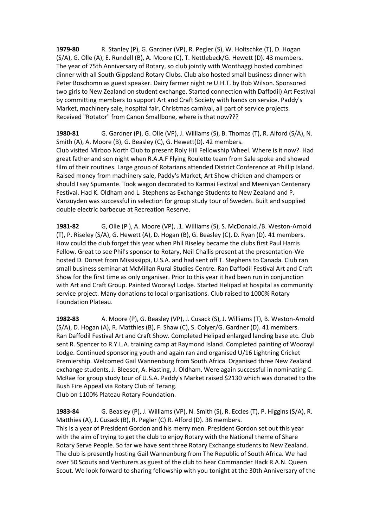**1979-80** R. Stanley (P), G. Gardner (VP), R. Pegler (S), W. Holtschke (T), D. Hogan (S/A), G. Olle (A), E. Rundell (B), A. Moore (C), T. Nettlebeck/G. Hewett (D). 43 members. The year of 75th Anniversary of Rotary, so club jointly with Wonthaggi hosted combined dinner with all South Gippsland Rotary Clubs. Club also hosted small business dinner with Peter Boschomn as guest speaker. Dairy farmer night re U.H.T. by Bob Wilson. Sponsored two girls to New Zealand on student exchange. Started connection with Daffodil) Art Festival by committing members to support Art and Craft Society with hands on service. Paddy's Market, machinery sale, hospital fair, Christmas carnival, all part of service projects. Received "Rotator" from Canon Smallbone, where is that now???

**1980-81** G. Gardner (P), G. Olle (VP), J. Williams (S), B. Thomas (T), R. Alford (S/A), N. Smith (A), A. Moore (B), G. Beasley (C), G. Hewett(D). 42 members. Club visited Mirboo North Club to present Roly Hill Fellowship Wheel. Where is it now? Had great father and son night when R.A.A.F Flying Roulette team from Sale spoke and showed film of their routines. Large group of Rotarians attended District Conference at Phillip Island. Raised money from machinery sale, Paddy's Market, Art Show chicken and champers or should I say Spumante. Took wagon decorated to Karmai Festival and Meeniyan Centenary Festival. Had K. Oldham and L. Stephens as Exchange Students to New Zealand and P. Vanzuyden was successful in selection for group study tour of Sweden. Built and supplied double electric barbecue at Recreation Reserve.

**1981-82** G, Olle (P ), A. Moore (VP), .1. Williams (S), S. McDonald./B. Weston-Arnold (T), P. Riseley (S/A), G. Hewett (A), D. Hogan (B), G. Beasley (C), D. Ryan (D). 41 members. How could the club forget this year when Phil Riseley became the clubs first Paul Harris Fellow. Great to see Phil's sponsor to Rotary, Neil Challis present at the presentation-We hosted D. Dorset from Mississippi, U.S.A. and had sent off T. Stephens to Canada. Club ran small business seminar at McMillan Rural Studies Centre. Ran Daffodil Festival Art and Craft Show for the first time as only organiser. Prior to this year it had been run in conjunction with Art and Craft Group. Painted Woorayl Lodge. Started Helipad at hospital as community service project. Many donations to local organisations. Club raised to 1000% Rotary Foundation Plateau.

**1982-83** A. Moore (P), G. Beasley (VP), J. Cusack (S), J. Williams (T), B. Weston-Arnold (S/A), D. Hogan (A), R. Matthies (B), F. Shaw (C), S. Colyer/G. Gardner (D). 41 members. Ran Daffodil Festival Art and Craft Show. Completed Helipad enlarged landing base etc. Club sent R. Spencer to R.Y.L.A. training camp at Raymond Island. Completed painting of Woorayl Lodge. Continued sponsoring youth and again ran and organised U/16 Lightning Cricket Premiership. Welcomed Gail Wannenburg from South Africa. Organised three New Zealand exchange students, J. Bleeser, A. Hasting, J. Oldham. Were again successful in nominating C. McRae for group study tour of U.S.A. Paddy's Market raised \$2130 which was donated to the Bush Fire Appeal via Rotary Club of Terang. Club on 1100% Plateau Rotary Foundation.

**1983-84** G. Beasley (P), J. Williams (VP), N. Smith (S), R. Eccles (T), P. Higgins (S/A), R. Matthies (A), J. Cusack (B), R. Pegler (C) R. Alford (D). 38 members. This is a year of President Gordon and his merry men. President Gordon set out this year with the aim of trying to get the club to enjoy Rotary with the National theme of Share Rotary Serve People. So far we have sent three Rotary Exchange students to New Zealand. The club is presently hosting Gail Wannenburg from The Republic of South Africa. We had over 50 Scouts and Venturers as guest of the club to hear Commander Hack R.A.N. Queen Scout. We look forward to sharing fellowship with you tonight at the 30th Anniversary of the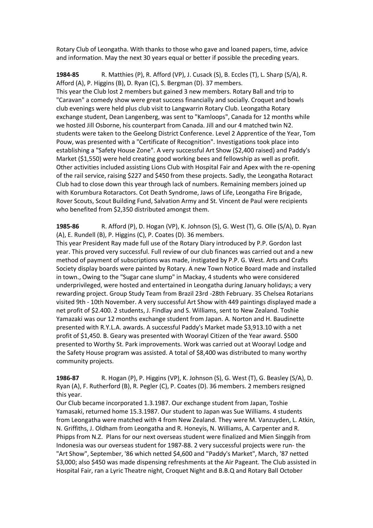Rotary Club of Leongatha. With thanks to those who gave and loaned papers, time, advice and information. May the next 30 years equal or better if possible the preceding years.

**1984-85** R. Matthies (P), R. Afford (VP), J. Cusack (S), B. Eccles (T), L. Sharp (S/A), R. Afford (A), P. Higgins (B), D. Ryan (C), S. Bergman (D). 37 members. This year the Club lost 2 members but gained 3 new members. Rotary Ball and trip to "Caravan" a comedy show were great success financially and socially. Croquet and bowls club evenings were held plus club visit to Langwarrin Rotary Club. Leongatha Rotary exchange student, Dean Langenberg, was sent to "Kamloops", Canada for 12 months while we hosted Jill Osborne, his counterpart from Canada. Jill and our 4 matched twin N2. students were taken to the Geelong District Conference. Level 2 Apprentice of the Year, Tom Pouw, was presented with a "Certificate of Recognition". Investigations took place into establishing a "Safety House Zone". A very successful Art Show (\$2,400 raised) and Paddy's Market (\$1,550) were held creating good working bees and fellowship as well as profit. Other activities included assisting Lions Club with Hospital Fair and Apex with the re-opening of the rail service, raising \$227 and \$450 from these projects. Sadly, the Leongatha Rotaract Club had to close down this year through lack of numbers. Remaining members joined up with Korumbura Rotaractors. Cot Death Syndrome, Jaws of Life, Leongatha Fire Brigade, Rover Scouts, Scout Building Fund, Salvation Army and St. Vincent de Paul were recipients who benefited from \$2,350 distributed amongst them.

**1985-86** R. Afford (P), D. Hogan (VP), K. Johnson (S), G. West (T), G. Olle (S/A), D. Ryan (A), E. Rundell (B), P. Higgins (C), P. Coates (D). 36 members.

This year President Ray made full use of the Rotary Diary introduced by P.P. Gordon last year. This proved very successful. Full review of our club finances was carried out and a new method of payment of subscriptions was made, instigated by P.P. G. West. Arts and Crafts Society display boards were painted by Rotary. A new Town Notice Board made and installed in town., Owing to the "Sugar cane slump" in Mackay, 4 students who were considered underprivileged, were hosted and entertained in Leongatha during January holidays; a very rewarding project. Group Study Team from Brazil 23rd -28th February. 35 Chelsea Rotarians visited 9th - 10th November. A very successful Art Show with 449 paintings displayed made a net profit of \$2.400. 2 students, J. Findlay and S. Williams, sent to New Zealand. Toshie Yamazaki was our 12 months exchange student from Japan. A. Norton and H. Baudinette presented with R.Y.L.A. awards. A successful Paddy's Market made \$3,913.10 with a net profit of \$1,450. B. Geary was presented with Woorayl Citizen of the Year award. \$500 presented to Worthy St. Park improvements. Work was carried out at Woorayl Lodge and the Safety House program was assisted. A total of \$8,400 was distributed to many worthy community projects.

**1986-87** R. Hogan (P), P. Higgins (VP), K. Johnson (S), G. West (T), G. Beasley (S/A), D. Ryan (A), F. Rutherford (B), R. Pegler (C), P. Coates (D). 36 members. 2 members resigned this year.

Our Club became incorporated 1.3.1987. Our exchange student from Japan, Toshie Yamasaki, returned home 15.3.1987. Our student to Japan was Sue Williams. 4 students from Leongatha were matched with 4 from New Zealand. They were M. Vanzuyden, L. Atkin, N. Griffiths, J. Oldham from Leongatha and R. Honeyis, N. Williams, A. Carpenter and R. Phipps from N.Z. Plans for our next overseas student were finalized and Mien Singgih from Indonesia was our overseas student for 1987-88. 2 very successful projects were run- the "Art Show", September, '86 which netted \$4,600 and "Paddy's Market", March, '87 netted \$3,000; also \$450 was made dispensing refreshments at the Air Pageant. The Club assisted in Hospital Fair, ran a Lyric Theatre night, Croquet Night and B.B.Q and Rotary Ball October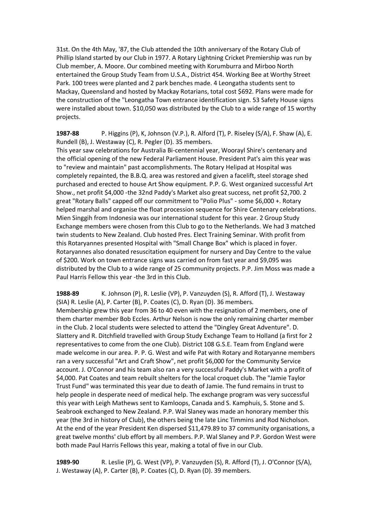31st. On the 4th May, '87, the Club attended the 10th anniversary of the Rotary Club of Phillip Island started by our Club in 1977. A Rotary Lightning Cricket Premiership was run by Club member, A. Moore. Our combined meeting with Korumburra and Mirboo North entertained the Group Study Team from U.S.A., District 454. Working Bee at Worthy Street Park. 100 trees were planted and 2 park benches made. 4 Leongatha students sent to Mackay, Queensland and hosted by Mackay Rotarians, total cost \$692. Plans were made for the construction of the "Leongatha Town entrance identification sign. 53 Safety House signs were installed about town. \$10,050 was distributed by the Club to a wide range of 15 worthy projects.

**1987-88** P. Higgins (P), K, Johnson (V.P.), R. Alford (T), P. Riseley (S/A), F. Shaw (A), E. Rundell (B), J. Westaway (C), R. Pegler (D). 35 members.

This year saw celebrations for Australia Bi-centennial year, Woorayl Shire's centenary and the official opening of the new Federal Parliament House. President Pat's aim this year was to "review and maintain" past accomplishments. The Rotary Helipad at Hospital was completely repainted, the B.B.Q. area was restored and given a facelift, steel storage shed purchased and erected to house Art Show equipment. P.P. G. West organized successful Art Show., net profit \$4,000 -the 32nd Paddy's Market also great success, net profit \$2,700. 2 great "Rotary Balls" capped off our commitment to "Polio Plus" - some \$6,000 +. Rotary helped marshal and organise the float procession sequence for Shire Centenary celebrations. Mien Singgih from Indonesia was our international student for this year. 2 Group Study Exchange members were chosen from this Club to go to the Netherlands. We had 3 matched twin students to New Zealand. Club hosted Pres. Elect Training Seminar. With profit from this Rotaryannes presented Hospital with "Small Change Box" which is placed in foyer. Rotaryannes also donated resuscitation equipment for nursery and Day Centre to the value of \$200. Work on town entrance signs was carried on from fast year and \$9,095 was distributed by the Club to a wide range of 25 community projects. P.P. Jim Moss was made a Paul Harris Fellow this year -the 3rd in this Club.

**1988-89** K. Johnson (P), R. Leslie (VP), P. Vanzuyden (S), R. Afford (T), J. Westaway (SIA) R. Leslie (A), P. Carter (B), P. Coates (C), D. Ryan (D). 36 members. Membership grew this year from 36 to 40 even with the resignation of 2 members, one of them charter member Bob Eccles. Arthur Nelson is now the only remaining charter member in the Club. 2 local students were selected to attend the "Dingley Great Adventure". D. Slattery and R. Ditchfield travelled with Group Study Exchange Team to Holland (a first for 2 representatives to come from the one Club). District 108 G.S.E. Team from England were made welcome in our area. P. P. G. West and wife Pat with Rotary and Rotaryanne members ran a very successful "Art and Craft Show", net profit \$6,000 for the Community Service account. J. O'Connor and his team also ran a very successful Paddy's Market with a profit of \$4,000. Pat Coates and team rebuilt shelters for the local croquet club. The "Jamie Taylor Trust Fund" was terminated this year due to death of Jamie. The fund remains in trust to help people in desperate need of medical help. The exchange program was very successful this year with Leigh Mathews sent to Kamloops, Canada and S. Kamphuis, S. Stone and S. Seabrook exchanged to New Zealand. P.P. Wal Slaney was made an honorary member this year (the 3rd in history of Club), the others being the late Linc Timmins and Rod Nicholson. At the end of the year President Ken dispersed \$11,479.89 to 37 community organisations, a great twelve months' club effort by all members. P.P. Wal Slaney and P.P. Gordon West were both made Paul Harris Fellows this year, making a total of five in our Club.

**1989-90** R. Leslie (P), G. West (VP), P. Vanzuyden (S), R. Afford (T), J. O'Connor (S/A), J. Westaway (A), P. Carter (B), P. Coates (C), D. Ryan (D). 39 members.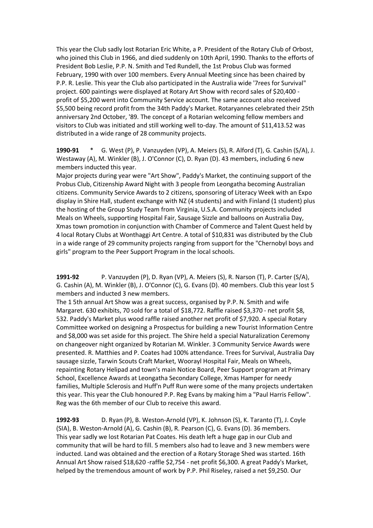This year the Club sadly lost Rotarian Eric White, a P. President of the Rotary Club of Orbost, who joined this Club in 1966, and died suddenly on 10th April, 1990. Thanks to the efforts of President Bob Leslie, P.P. N. Smith and Ted Rundell, the 1st Probus Club was formed February, 1990 with over 100 members. Every Annual Meeting since has been chaired by P.P. R. Leslie. This year the Club also participated in the Australia wide '7rees for Survival" project. 600 paintings were displayed at Rotary Art Show with record sales of \$20,400 profit of \$5,200 went into Community Service account. The same account also received \$5,500 being record profit from the 34th Paddy's Market. Rotaryannes celebrated their 25th anniversary 2nd October, '89. The concept of a Rotarian welcoming fellow members and visitors to Club was initiated and still working well to-day. The amount of \$11,413.52 was distributed in a wide range of 28 community projects.

**1990-91** \* G. West (P), P. Vanzuyden (VP), A. Meiers (S), R. Alford (T), G. Cashin (S/A), J. Westaway (A), M. Winkler (B), J. O'Connor (C), D. Ryan (D). 43 members, including 6 new members inducted this year.

Major projects during year were "Art Show", Paddy's Market, the continuing support of the Probus Club, Citizenship Award Night with 3 people from Leongatha becoming Australian citizens. Community Service Awards to 2 citizens, sponsoring of Literacy Week with an Expo display in Shire Hall, student exchange with NZ (4 students) and with Finland (1 student) plus the hosting of the Group Study Team from Virginia, U.S.A. Community projects included Meals on Wheels, supporting Hospital Fair, Sausage Sizzle and balloons on Australia Day, Xmas town promotion in conjunction with Chamber of Commerce and Talent Quest held by 4 local Rotary Clubs at Wonthaggi Art Centre. A total of \$10,831 was distributed by the Club in a wide range of 29 community projects ranging from support for the "Chernobyl boys and girls" program to the Peer Support Program in the local schools.

**1991-92** P. Vanzuyden (P), D. Ryan (VP), A. Meiers (S), R. Narson (T), P. Carter (S/A), G. Cashin (A), M. Winkler (B), J. O'Connor (C), G. Evans (D). 40 members. Club this year lost 5 members and inducted 3 new members.

The 1 5th annual Art Show was a great success, organised by P.P. N. Smith and wife Margaret. 630 exhibits, 70 sold for a total of \$18,772. Raffle raised \$3,370 - net profit \$8, 532. Paddy's Market plus wood raffle raised another net profit of \$7,920. A special Rotary Committee worked on designing a Prospectus for building a new Tourist Information Centre and \$8,000 was set aside for this project. The Shire held a special Naturalization Ceremony on changeover night organized by Rotarian M. Winkler. 3 Community Service Awards were presented. R. Matthies and P. Coates had 100% attendance. Trees for Survival, Australia Day sausage sizzle, Tarwin Scouts Craft Market, Woorayl Hospital Fair, Meals on Wheels, repainting Rotary Helipad and town's main Notice Board, Peer Support program at Primary School, Excellence Awards at Leongatha Secondary College, Xmas Hamper for needy families, Multiple Sclerosis and Huff'n Puff Run were some of the many projects undertaken this year. This year the Club honoured P.P. Reg Evans by making him a "Paul Harris Fellow". Reg was the 6th member of our Club to receive this award.

**1992-93** D. Ryan (P), B. Weston-Arnold (VP), K. Johnson (S), K. Taranto (T), J. Coyle (SIA), B. Weston-Arnold (A), G. Cashin (B), R. Pearson (C), G. Evans (D). 36 members. This year sadly we lost Rotarian Pat Coates. His death left a huge gap in our Club and community that will be hard to fill. 5 members also had to leave and 3 new members were inducted. Land was obtained and the erection of a Rotary Storage Shed was started. 16th Annual Art Show raised \$18,620 -raffle \$2,754 - net profit \$6,300. A great Paddy's Market, helped by the tremendous amount of work by P.P. Phil Riseley, raised a net \$9,250. Our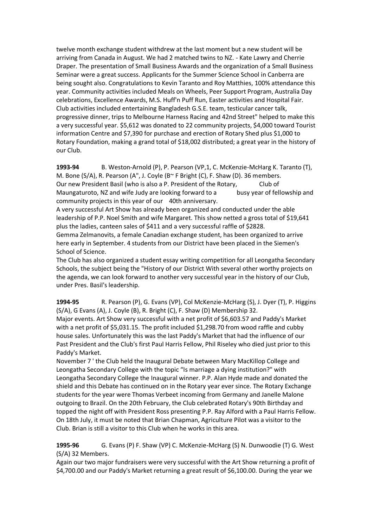twelve month exchange student withdrew at the last moment but a new student will be arriving from Canada in August. We had 2 matched twins to NZ. - Kate Lawry and Cherrie Draper. The presentation of Small Business Awards and the organization of a Small Business Seminar were a great success. Applicants for the Summer Science School in Canberra are being sought also. Congratulations to Kevin Taranto and Roy Matthies, 100% attendance this year. Community activities included Meals on Wheels, Peer Support Program, Australia Day celebrations, Excellence Awards, M.S. Huff'n Puff Run, Easter activities and Hospital Fair. Club activities included entertaining Bangladesh G.S.E. team, testicular cancer talk, progressive dinner, trips to Melbourne Harness Racing and 42nd Street" helped to make this a very successful year. \$5,612 was donated to 22 community projects, \$4,000 toward Tourist information Centre and \$7,390 for purchase and erection of Rotary Shed plus \$1,000 to Rotary Foundation, making a grand total of \$18,002 distributed; a great year in the history of our Club.

**1993-94** B. Weston-Arnold (P), P. Pearson (VP,1, C. McKenzie-McHarg K. Taranto (T), M. Bone (S/A), R. Pearson (A", J. Coyle (B~ F Bright (C), F. Shaw (D). 36 members. Our new President Basil (who is also a P. President of the Rotary, Club of Maungaturoto, NZ and wife Judy are looking forward to a busy year of fellowship and community projects in this year of our 40th anniversary.

A very successful Art Show has already been organized and conducted under the able leadership of P.P. Noel Smith and wife Margaret. This show netted a gross total of \$19,641 plus the ladies, canteen sales of \$411 and a very successful raffle of \$2828. Gemma Zelmanovits, a female Canadian exchange student, has been organized to arrive

here early in September. 4 students from our District have been placed in the Siemen's School of Science.

The Club has also organized a student essay writing competition for all Leongatha Secondary Schools, the subject being the "History of our District With several other worthy projects on the agenda, we can look forward to another very successful year in the history of our Club, under Pres. Basil's leadership.

**1994-95** R. Pearson (P), G. Evans (VP), Col McKenzie-McHarg (S), J. Dyer (T), P. Higgins (S/A), G Evans (A), J. Coyle (B), R. Bright (C), F. Shaw (D) Membership 32.

Major events. Art Show very successful with a net profit of \$6,603.57 and Paddy's Market with a net profit of \$5,031.15. The profit included \$1,298.70 from wood raffle and cubby house sales. Unfortunately this was the last Paddy's Market that had the influence of our Past President and the Club's first Paul Harris Fellow, Phil Riseley who died just prior to this Paddy's Market.

November 7 ' the Club held the Inaugural Debate between Mary MacKillop College and Leongatha Secondary College with the topic "Is marriage a dying institution?" with Leongatha Secondary College the Inaugural winner. P.P. Alan Hyde made and donated the shield and this Debate has continued on in the Rotary year ever since. The Rotary Exchange students for the year were Thomas Verbeet incoming from Germany and Janelle Malone outgoing to Brazil. On the 20th February, the Club celebrated Rotary's 90th Birthday and topped the night off with President Ross presenting P.P. Ray Alford with a Paul Harris Fellow. On 18th July, it must be noted that Brian Chapman, Agriculture Pilot was a visitor to the Club. Brian is still a visitor to this Club when he works in this area.

#### **1995-96** G. Evans (P) F. Shaw (VP) C. McKenzie-McHarg (S) N. Dunwoodie (T) G. West (S/A) 32 Members.

Again our two major fundraisers were very successful with the Art Show returning a profit of \$4,700.00 and our Paddy's Market returning a great result of \$6,100.00. During the year we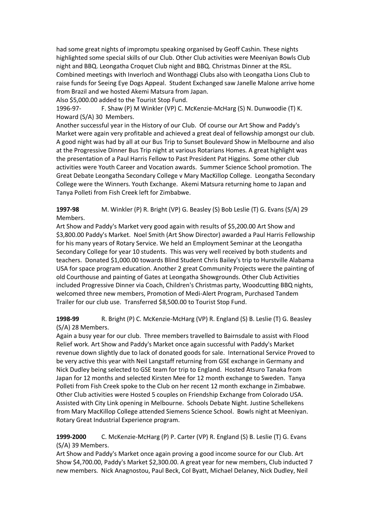had some great nights of impromptu speaking organised by Geoff Cashin. These nights highlighted some special skills of our Club. Other Club activities were Meeniyan Bowls Club night and BBQ. Leongatha Croquet Club night and BBQ. Christmas Dinner at the RSL. Combined meetings with Inverloch and Wonthaggi Clubs also with Leongatha Lions Club to raise funds for Seeing Eye Dogs Appeal. Student Exchanged saw Janelle Malone arrive home from Brazil and we hosted Akemi Matsura from Japan.

Also \$5,000.00 added to the Tourist Stop Fund.

1996-97- F. Shaw (P) M Winkler (VP) C. McKenzie-McHarg (S) N. Dunwoodie (T) K. Howard (S/A) 30 Members.

Another successful year in the History of our Club. Of course our Art Show and Paddy's Market were again very profitable and achieved a great deal of fellowship amongst our club. A good night was had by all at our Bus Trip to Sunset Boulevard Show in Melbourne and also at the Progressive Dinner Bus Trip night at various Rotarians Homes. A great highlight was the presentation of a Paul Harris Fellow to Past President Pat Higgins. Some other club activities were Youth Career and Vocation awards. Summer Science School promotion. The Great Debate Leongatha Secondary College v Mary MacKillop College. Leongatha Secondary College were the Winners. Youth Exchange. Akemi Matsura returning home to Japan and Tanya Polleti from Fish Creek left for Zimbabwe.

**1997-98** M. Winkler (P) R. Bright (VP) G. Beasley (S) Bob Leslie (T) G. Evans (S/A) 29 Members.

Art Show and Paddy's Market very good again with results of \$5,200.00 Art Show and \$3,800.00 Paddy's Market. Noel Smith (Art Show Director) awarded a Paul Harris Fellowship for his many years of Rotary Service. We held an Employment Seminar at the Leongatha Secondary College for year 10 students. This was very well received by both students and teachers. Donated \$1,000.00 towards Blind Student Chris Bailey's trip to Hurstville Alabama USA for space program education. Another 2 great Community Projects were the painting of old Courthouse and painting of Gates at Leongatha Showgrounds. Other Club Activities included Progressive Dinner via Coach, Children's Christmas party, Woodcutting BBQ nights, welcomed three new members, Promotion of Medi-Alert Program, Purchased Tandem Trailer for our club use. Transferred \$8,500.00 to Tourist Stop Fund.

**1998-99** R. Bright (P) C. McKenzie-McHarg (VP) R. England (S) B. Leslie (T) G. Beasley (S/A) 28 Members.

Again a busy year for our club. Three members travelled to Bairnsdale to assist with Flood Relief work. Art Show and Paddy's Market once again successful with Paddy's Market revenue down slightly due to lack of donated goods for sale. International Service Proved to be very active this year with Neil Langstaff returning from GSE exchange in Germany and Nick Dudley being selected to GSE team for trip to England. Hosted Atsuro Tanaka from Japan for 12 months and selected Kirsten Mee for 12 month exchange to Sweden. Tanya Polleti from Fish Creek spoke to the Club on her recent 12 month exchange in Zimbabwe. Other Club activities were Hosted 5 couples on Friendship Exchange from Colorado USA. Assisted with City Link opening in Melbourne. Schools Debate Night. Justine Schellekens from Mary MacKillop College attended Siemens Science School. Bowls night at Meeniyan. Rotary Great Industrial Experience program.

**1999-2000** C. McKenzie-McHarg (P) P. Carter (VP) R. England (S) B. Leslie (T) G. Evans (S/A) 39 Members.

Art Show and Paddy's Market once again proving a good income source for our Club. Art Show \$4,700.00, Paddy's Market \$2,300.00. A great year for new members, Club inducted 7 new members. Nick Anagnostou, Paul Beck, Col Byatt, Michael Delaney, Nick Dudley, Neil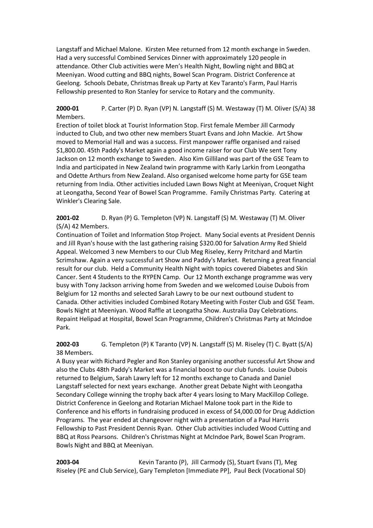Langstaff and Michael Malone. Kirsten Mee returned from 12 month exchange in Sweden. Had a very successful Combined Services Dinner with approximately 120 people in attendance. Other Club activities were Men's Health Night, Bowling night and BBQ at Meeniyan. Wood cutting and BBQ nights, Bowel Scan Program. District Conference at Geelong. Schools Debate, Christmas Break up Party at Kev Taranto's Farm, Paul Harris Fellowship presented to Ron Stanley for service to Rotary and the community.

**2000-01** P. Carter (P) D. Ryan (VP) N. Langstaff (S) M. Westaway (T) M. Oliver (S/A) 38 Members.

Erection of toilet block at Tourist Information Stop. First female Member Jill Carmody inducted to Club, and two other new members Stuart Evans and John Mackie. Art Show moved to Memorial Hall and was a success. First manpower raffle organised and raised \$1,800.00. 45th Paddy's Market again a good income raiser for our Club We sent Tony Jackson on 12 month exchange to Sweden. Also Kim Gilliland was part of the GSE Team to India and participated in New Zealand twin programme with Karly Larkin from Leongatha and Odette Arthurs from New Zealand. Also organised welcome home party for GSE team returning from India. Other activities included Lawn Bows Night at Meeniyan, Croquet Night at Leongatha, Second Year of Bowel Scan Programme. Family Christmas Party. Catering at Winkler's Clearing Sale.

**2001-02** D. Ryan (P) G. Templeton (VP) N. Langstaff (S) M. Westaway (T) M. Oliver (S/A) 42 Members.

Continuation of Toilet and Information Stop Project. Many Social events at President Dennis and Jill Ryan's house with the last gathering raising \$320.00 for Salvation Army Red Shield Appeal. Welcomed 3 new Members to our Club Meg Riseley, Kerry Pritchard and Martin Scrimshaw. Again a very successful art Show and Paddy's Market. Returning a great financial result for our club. Held a Community Health Night with topics covered Diabetes and Skin Cancer. Sent 4 Students to the RYPEN Camp. Our 12 Month exchange programme was very busy with Tony Jackson arriving home from Sweden and we welcomed Louise Dubois from Belgium for 12 months and selected Sarah Lawry to be our next outbound student to Canada. Other activities included Combined Rotary Meeting with Foster Club and GSE Team. Bowls Night at Meeniyan. Wood Raffle at Leongatha Show. Australia Day Celebrations. Repaint Helipad at Hospital, Bowel Scan Programme, Children's Christmas Party at McIndoe Park.

**2002-03** G. Templeton (P) K Taranto (VP) N. Langstaff (S) M. Riseley (T) C. Byatt (S/A) 38 Members.

A Busy year with Richard Pegler and Ron Stanley organising another successful Art Show and also the Clubs 48th Paddy's Market was a financial boost to our club funds. Louise Dubois returned to Belgium, Sarah Lawry left for 12 months exchange to Canada and Daniel Langstaff selected for next years exchange. Another great Debate Night with Leongatha Secondary College winning the trophy back after 4 years losing to Mary MacKillop College. District Conference in Geelong and Rotarian Michael Malone took part in the Ride to Conference and his efforts in fundraising produced in excess of \$4,000.00 for Drug Addiction Programs. The year ended at changeover night with a presentation of a Paul Harris Fellowship to Past President Dennis Ryan. Other Club activities included Wood Cutting and BBQ at Ross Pearsons. Children's Christmas Night at McIndoe Park, Bowel Scan Program. Bowls Night and BBQ at Meeniyan.

**2003-04** Kevin Taranto (P), Jill Carmody (S), Stuart Evans (T), Meg Riseley (PE and Club Service), Gary Templeton [Immediate PP], Paul Beck (Vocational SD)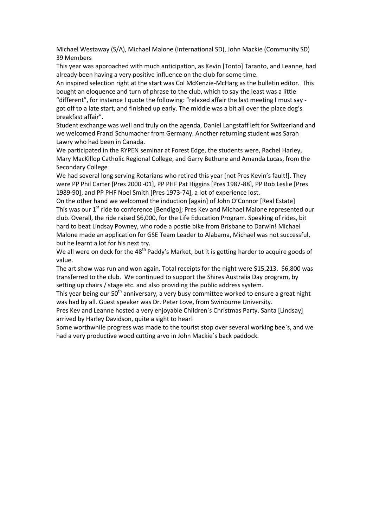Michael Westaway (S/A), Michael Malone (International SD), John Mackie (Community SD) 39 Members

This year was approached with much anticipation, as Kevin [Tonto] Taranto, and Leanne, had already been having a very positive influence on the club for some time.

An inspired selection right at the start was Col McKenzie-McHarg as the bulletin editor. This bought an eloquence and turn of phrase to the club, which to say the least was a little "different", for instance I quote the following: "relaxed affair the last meeting I must say got off to a late start, and finished up early. The middle was a bit all over the place dog's breakfast affair".

Student exchange was well and truly on the agenda, Daniel Langstaff left for Switzerland and we welcomed Franzi Schumacher from Germany. Another returning student was Sarah Lawry who had been in Canada.

We participated in the RYPEN seminar at Forest Edge, the students were, Rachel Harley, Mary MacKillop Catholic Regional College, and Garry Bethune and Amanda Lucas, from the Secondary College

We had several long serving Rotarians who retired this year [not Pres Kevin's fault!]. They were PP Phil Carter [Pres 2000 -01], PP PHF Pat Higgins [Pres 1987-88], PP Bob Leslie [Pres 1989-90], and PP PHF Noel Smith [Pres 1973-74], a lot of experience lost.

On the other hand we welcomed the induction [again] of John O'Connor [Real Estate] This was our 1<sup>st</sup> ride to conference [Bendigo]; Pres Kev and Michael Malone represented our club. Overall, the ride raised \$6,000, for the Life Education Program. Speaking of rides, bit hard to beat Lindsay Powney, who rode a postie bike from Brisbane to Darwin! Michael Malone made an application for GSE Team Leader to Alabama, Michael was not successful, but he learnt a lot for his next try.

We all were on deck for the 48<sup>th</sup> Paddy's Market, but it is getting harder to acquire goods of value.

The art show was run and won again. Total receipts for the night were \$15,213. \$6,800 was transferred to the club. We continued to support the Shires Australia Day program, by setting up chairs / stage etc. and also providing the public address system.

This year being our  $50<sup>th</sup>$  anniversary, a very busy committee worked to ensure a great night was had by all. Guest speaker was Dr. Peter Love, from Swinburne University.

Pres Kev and Leanne hosted a very enjoyable Children`s Christmas Party. Santa [Lindsay] arrived by Harley Davidson, quite a sight to hear!

Some worthwhile progress was made to the tourist stop over several working bee`s, and we had a very productive wood cutting arvo in John Mackie`s back paddock.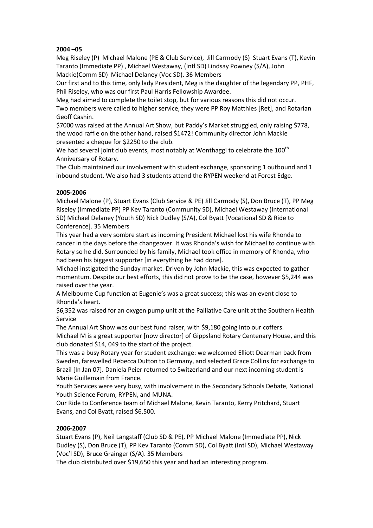#### **2004 –05**

Meg Riseley (P) Michael Malone (PE & Club Service), Jill Carmody (S) Stuart Evans (T), Kevin Taranto (Immediate PP) , Michael Westaway, (Intl SD) Lindsay Powney (S/A), John Mackie(Comm SD) Michael Delaney (Voc SD). 36 Members

Our first and to this time, only lady President, Meg is the daughter of the legendary PP, PHF, Phil Riseley, who was our first Paul Harris Fellowship Awardee.

Meg had aimed to complete the toilet stop, but for various reasons this did not occur. Two members were called to higher service, they were PP Roy Matthies [Ret], and Rotarian Geoff Cashin.

\$7000 was raised at the Annual Art Show, but Paddy's Market struggled, only raising \$778, the wood raffle on the other hand, raised \$1472! Community director John Mackie presented a cheque for \$2250 to the club.

We had several joint club events, most notably at Wonthaggi to celebrate the 100<sup>th</sup> Anniversary of Rotary.

The Club maintained our involvement with student exchange, sponsoring 1 outbound and 1 inbound student. We also had 3 students attend the RYPEN weekend at Forest Edge.

#### **2005-2006**

Michael Malone (P), Stuart Evans (Club Service & PE) Jill Carmody (S), Don Bruce (T), PP Meg Riseley (Immediate PP) PP Kev Taranto (Community SD), Michael Westaway (International SD) Michael Delaney (Youth SD) Nick Dudley (S/A), Col Byatt [Vocational SD & Ride to Conference]. 35 Members

This year had a very sombre start as incoming President Michael lost his wife Rhonda to cancer in the days before the changeover. It was Rhonda's wish for Michael to continue with Rotary so he did. Surrounded by his family, Michael took office in memory of Rhonda, who had been his biggest supporter [in everything he had done].

Michael instigated the Sunday market. Driven by John Mackie, this was expected to gather momentum. Despite our best efforts, this did not prove to be the case, however \$5,244 was raised over the year.

A Melbourne Cup function at Eugenie's was a great success; this was an event close to Rhonda's heart.

\$6,352 was raised for an oxygen pump unit at the Palliative Care unit at the Southern Health Service

The Annual Art Show was our best fund raiser, with \$9,180 going into our coffers.

Michael M is a great supporter [now director] of Gippsland Rotary Centenary House, and this club donated \$14, 049 to the start of the project.

This was a busy Rotary year for student exchange: we welcomed Elliott Dearman back from Sweden, farewelled Rebecca Dutton to Germany, and selected Grace Collins for exchange to Brazil [In Jan 07]. Daniela Peier returned to Switzerland and our next incoming student is Marie Guillemain from France.

Youth Services were very busy, with involvement in the Secondary Schools Debate, National Youth Science Forum, RYPEN, and MUNA.

Our Ride to Conference team of Michael Malone, Kevin Taranto, Kerry Pritchard, Stuart Evans, and Col Byatt, raised \$6,500.

#### **2006-2007**

Stuart Evans (P), Neil Langstaff (Club SD & PE), PP Michael Malone (Immediate PP), Nick Dudley (S), Don Bruce (T), PP Kev Taranto (Comm SD), Col Byatt (Intl SD), Michael Westaway (Voc'l SD), Bruce Grainger (S/A). 35 Members

The club distributed over \$19,650 this year and had an interesting program.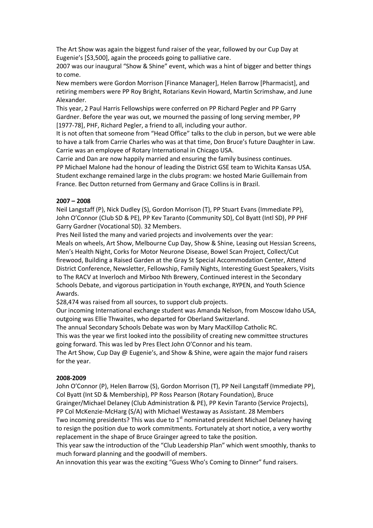The Art Show was again the biggest fund raiser of the year, followed by our Cup Day at Eugenie's [\$3,500], again the proceeds going to palliative care.

2007 was our inaugural "Show & Shine" event, which was a hint of bigger and better things to come.

New members were Gordon Morrison [Finance Manager], Helen Barrow [Pharmacist], and retiring members were PP Roy Bright, Rotarians Kevin Howard, Martin Scrimshaw, and June Alexander.

This year, 2 Paul Harris Fellowships were conferred on PP Richard Pegler and PP Garry Gardner. Before the year was out, we mourned the passing of long serving member, PP [1977-78], PHF, Richard Pegler, a friend to all, including your author.

It is not often that someone from "Head Office" talks to the club in person, but we were able to have a talk from Carrie Charles who was at that time, Don Bruce's future Daughter in Law. Carrie was an employee of Rotary International in Chicago USA.

Carrie and Dan are now happily married and ensuring the family business continues. PP Michael Malone had the honour of leading the District GSE team to Wichita Kansas USA. Student exchange remained large in the clubs program: we hosted Marie Guillemain from France. Bec Dutton returned from Germany and Grace Collins is in Brazil.

#### **2007 – 2008**

Neil Langstaff (P), Nick Dudley (S), Gordon Morrison (T), PP Stuart Evans (Immediate PP), John O'Connor (Club SD & PE), PP Kev Taranto (Community SD), Col Byatt (Intl SD), PP PHF Garry Gardner (Vocational SD). 32 Members.

Pres Neil listed the many and varied projects and involvements over the year: Meals on wheels, Art Show, Melbourne Cup Day, Show & Shine, Leasing out Hessian Screens, Men's Health Night, Corks for Motor Neurone Disease, Bowel Scan Project, Collect/Cut firewood, Building a Raised Garden at the Gray St Special Accommodation Center, Attend District Conference, Newsletter, Fellowship, Family Nights, Interesting Guest Speakers, Visits to The RACV at Inverloch and Mirboo Nth Brewery, Continued interest in the Secondary Schools Debate, and vigorous participation in Youth exchange, RYPEN, and Youth Science Awards.

\$28,474 was raised from all sources, to support club projects.

Our incoming International exchange student was Amanda Nelson, from Moscow Idaho USA, outgoing was Ellie Thwaites, who departed for Oberland Switzerland.

The annual Secondary Schools Debate was won by Mary MacKillop Catholic RC.

This was the year we first looked into the possibility of creating new committee structures going forward. This was led by Pres Elect John O'Connor and his team.

The Art Show, Cup Day @ Eugenie's, and Show & Shine, were again the major fund raisers for the year.

#### **2008-2009**

John O'Connor (P), Helen Barrow (S), Gordon Morrison (T), PP Neil Langstaff (Immediate PP), Col Byatt (Int SD & Membership), PP Ross Pearson (Rotary Foundation), Bruce

Grainger/Michael Delaney (Club Administration & PE), PP Kevin Taranto (Service Projects), PP Col McKenzie-McHarg (S/A) with Michael Westaway as Assistant. 28 Members

Two incoming presidents? This was due to  $1<sup>st</sup>$  nominated president Michael Delaney having to resign the position due to work commitments. Fortunately at short notice, a very worthy replacement in the shape of Bruce Grainger agreed to take the position.

This year saw the introduction of the "Club Leadership Plan" which went smoothly, thanks to much forward planning and the goodwill of members.

An innovation this year was the exciting "Guess Who's Coming to Dinner" fund raisers.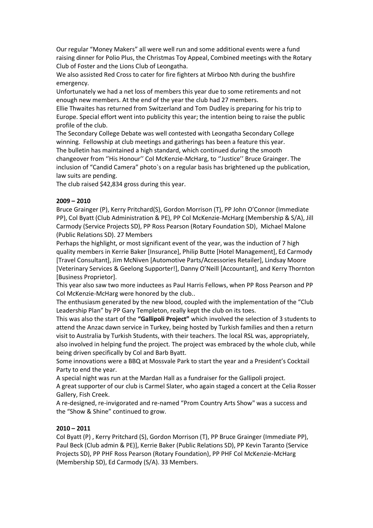Our regular "Money Makers" all were well run and some additional events were a fund raising dinner for Polio Plus, the Christmas Toy Appeal, Combined meetings with the Rotary Club of Foster and the Lions Club of Leongatha.

We also assisted Red Cross to cater for fire fighters at Mirboo Nth during the bushfire emergency.

Unfortunately we had a net loss of members this year due to some retirements and not enough new members. At the end of the year the club had 27 members.

Ellie Thwaites has returned from Switzerland and Tom Dudley is preparing for his trip to Europe. Special effort went into publicity this year; the intention being to raise the public profile of the club.

The Secondary College Debate was well contested with Leongatha Secondary College winning. Fellowship at club meetings and gatherings has been a feature this year. The bulletin has maintained a high standard, which continued during the smooth changeover from "His Honour" Col McKenzie-McHarg, to "Justice" Bruce Grainger. The inclusion of "Candid Camera" photo`s on a regular basis has brightened up the publication, law suits are pending.

The club raised \$42,834 gross during this year.

#### **2009 – 2010**

Bruce Grainger (P), Kerry Pritchard(S), Gordon Morrison (T), PP John O'Connor (Immediate PP), Col Byatt (Club Administration & PE), PP Col McKenzie-McHarg (Membership & S/A), Jill Carmody (Service Projects SD), PP Ross Pearson (Rotary Foundation SD), Michael Malone (Public Relations SD). 27 Members

Perhaps the highlight, or most significant event of the year, was the induction of 7 high quality members in Kerrie Baker [Insurance], Philip Butte [Hotel Management], Ed Carmody [Travel Consultant], Jim McNiven [Automotive Parts/Accessories Retailer], Lindsay Moore [Veterinary Services & Geelong Supporter!], Danny O'Neill [Accountant], and Kerry Thornton [Business Proprietor].

This year also saw two more inductees as Paul Harris Fellows, when PP Ross Pearson and PP Col McKenzie-McHarg were honored by the club..

The enthusiasm generated by the new blood, coupled with the implementation of the "Club Leadership Plan" by PP Gary Templeton, really kept the club on its toes.

This was also the start of the **"Gallipoli Project"** which involved the selection of 3 students to attend the Anzac dawn service in Turkey, being hosted by Turkish families and then a return visit to Australia by Turkish Students, with their teachers. The local RSL was, appropriately, also involved in helping fund the project. The project was embraced by the whole club, while being driven specifically by Col and Barb Byatt.

Some innovations were a BBQ at Mossvale Park to start the year and a President's Cocktail Party to end the year.

A special night was run at the Mardan Hall as a fundraiser for the Gallipoli project.

A great supporter of our club is Carmel Slater, who again staged a concert at the Celia Rosser Gallery, Fish Creek.

A re-designed, re-invigorated and re-named "Prom Country Arts Show" was a success and the "Show & Shine" continued to grow.

#### **2010 – 2011**

Col Byatt (P) , Kerry Pritchard (S), Gordon Morrison (T), PP Bruce Grainger (Immediate PP), Paul Beck (Club admin & PE)], Kerrie Baker (Public Relations SD), PP Kevin Taranto (Service Projects SD), PP PHF Ross Pearson (Rotary Foundation), PP PHF Col McKenzie-McHarg (Membership SD), Ed Carmody (S/A). 33 Members.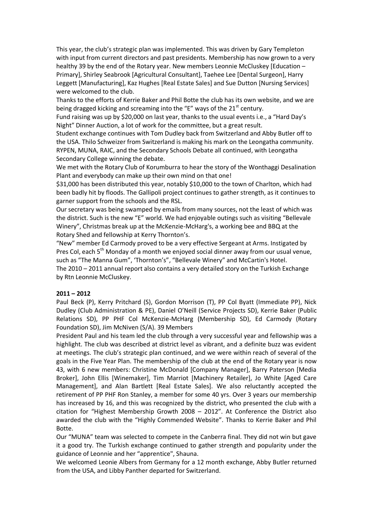This year, the club's strategic plan was implemented. This was driven by Gary Templeton with input from current directors and past presidents. Membership has now grown to a very healthy 39 by the end of the Rotary year. New members Leonnie McCluskey [Education – Primary], Shirley Seabrook [Agricultural Consultant], Taehee Lee [Dental Surgeon], Harry Leggett [Manufacturing], Kaz Hughes [Real Estate Sales] and Sue Dutton [Nursing Services] were welcomed to the club.

Thanks to the efforts of Kerrie Baker and Phil Botte the club has its own website, and we are being dragged kicking and screaming into the "E" ways of the  $21<sup>st</sup>$  century.

Fund raising was up by \$20,000 on last year, thanks to the usual events i.e., a "Hard Day's Night" Dinner Auction, a lot of work for the committee, but a great result.

Student exchange continues with Tom Dudley back from Switzerland and Abby Butler off to the USA. Thilo Schweizer from Switzerland is making his mark on the Leongatha community. RYPEN, MUNA, RAIC, and the Secondary Schools Debate all continued, with Leongatha Secondary College winning the debate.

We met with the Rotary Club of Korumburra to hear the story of the Wonthaggi Desalination Plant and everybody can make up their own mind on that one!

\$31,000 has been distributed this year, notably \$10,000 to the town of Charlton, which had been badly hit by floods. The Gallipoli project continues to gather strength, as it continues to garner support from the schools and the RSL.

Our secretary was being swamped by emails from many sources, not the least of which was the district. Such is the new "E" world. We had enjoyable outings such as visiting "Bellevale Winery", Christmas break up at the McKenzie-McHarg's, a working bee and BBQ at the Rotary Shed and fellowship at Kerry Thornton's.

"New" member Ed Carmody proved to be a very effective Sergeant at Arms. Instigated by Pres Col, each 5<sup>th</sup> Monday of a month we enjoyed social dinner away from our usual venue, such as "The Manna Gum", 'Thornton's", "Bellevale Winery" and McCartin's Hotel.

The 2010 – 2011 annual report also contains a very detailed story on the Turkish Exchange by Rtn Leonnie McCluskey.

#### **2011 – 2012**

Paul Beck (P), Kerry Pritchard (S), Gordon Morrison (T), PP Col Byatt (Immediate PP), Nick Dudley (Club Administration & PE), Daniel O'Neill (Service Projects SD), Kerrie Baker (Public Relations SD), PP PHF Col McKenzie-McHarg (Membership SD), Ed Carmody (Rotary Foundation SD), Jim McNiven (S/A). 39 Members

President Paul and his team led the club through a very successful year and fellowship was a highlight. The club was described at district level as vibrant, and a definite buzz was evident at meetings. The club's strategic plan continued, and we were within reach of several of the goals in the Five Year Plan. The membership of the club at the end of the Rotary year is now 43, with 6 new members: Christine McDonald [Company Manager], Barry Paterson [Media Broker], John Ellis [Winemaker], Tim Marriot [Machinery Retailer], Jo White [Aged Care Management], and Alan Bartlett [Real Estate Sales]. We also reluctantly accepted the retirement of PP PHF Ron Stanley, a member for some 40 yrs. Over 3 years our membership has increased by 16, and this was recognized by the district, who presented the club with a citation for "Highest Membership Growth 2008 – 2012". At Conference the District also awarded the club with the "Highly Commended Website". Thanks to Kerrie Baker and Phil Botte.

Our "MUNA" team was selected to compete in the Canberra final. They did not win but gave it a good try. The Turkish exchange continued to gather strength and popularity under the guidance of Leonnie and her "apprentice", Shauna.

We welcomed Leonie Albers from Germany for a 12 month exchange, Abby Butler returned from the USA, and Libby Panther departed for Switzerland.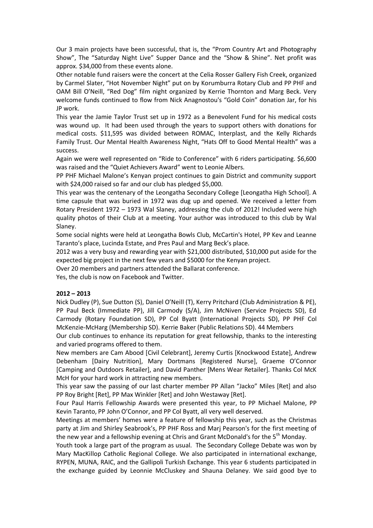Our 3 main projects have been successful, that is, the "Prom Country Art and Photography Show", The "Saturday Night Live" Supper Dance and the "Show & Shine". Net profit was approx. \$34,000 from these events alone.

Other notable fund raisers were the concert at the Celia Rosser Gallery Fish Creek, organized by Carmel Slater, "Hot November Night" put on by Korumburra Rotary Club and PP PHF and OAM Bill O'Neill, "Red Dog" film night organized by Kerrie Thornton and Marg Beck. Very welcome funds continued to flow from Nick Anagnostou's "Gold Coin" donation Jar, for his JP work.

This year the Jamie Taylor Trust set up in 1972 as a Benevolent Fund for his medical costs was wound up. It had been used through the years to support others with donations for medical costs. \$11,595 was divided between ROMAC, Interplast, and the Kelly Richards Family Trust. Our Mental Health Awareness Night, "Hats Off to Good Mental Health" was a success.

Again we were well represented on "Ride to Conference" with 6 riders participating. \$6,600 was raised and the "Quiet Achievers Award" went to Leonie Albers.

PP PHF Michael Malone's Kenyan project continues to gain District and community support with \$24,000 raised so far and our club has pledged \$5,000.

This year was the centenary of the Leongatha Secondary College [Leongatha High School]. A time capsule that was buried in 1972 was dug up and opened. We received a letter from Rotary President 1972 – 1973 Wal Slaney, addressing the club of 2012! Included were high quality photos of their Club at a meeting. Your author was introduced to this club by Wal Slaney.

Some social nights were held at Leongatha Bowls Club, McCartin's Hotel, PP Kev and Leanne Taranto's place, Lucinda Estate, and Pres Paul and Marg Beck's place.

2012 was a very busy and rewarding year with \$21,000 distributed, \$10,000 put aside for the expected big project in the next few years and \$5000 for the Kenyan project.

Over 20 members and partners attended the Ballarat conference.

Yes, the club is now on Facebook and Twitter.

#### **2012 – 2013**

Nick Dudley (P), Sue Dutton (S), Daniel O'Neill (T), Kerry Pritchard (Club Administration & PE), PP Paul Beck (Immediate PP), Jill Carmody (S/A), Jim McNiven (Service Projects SD), Ed Carmody (Rotary Foundation SD), PP Col Byatt (International Projects SD), PP PHF Col McKenzie-McHarg (Membership SD). Kerrie Baker (Public Relations SD). 44 Members

Our club continues to enhance its reputation for great fellowship, thanks to the interesting and varied programs offered to them.

New members are Cam Abood [Civil Celebrant], Jeremy Curtis [Knockwood Estate], Andrew Debenham [Dairy Nutrition], Mary Dortmans [Registered Nurse], Graeme O'Connor [Camping and Outdoors Retailer], and David Panther [Mens Wear Retailer]. Thanks Col McK McH for your hard work in attracting new members.

This year saw the passing of our last charter member PP Allan "Jacko" Miles [Ret] and also PP Roy Bright [Ret], PP Max Winkler [Ret] and John Westaway [Ret].

Four Paul Harris Fellowship Awards were presented this year, to PP Michael Malone, PP Kevin Taranto, PP John O'Connor, and PP Col Byatt, all very well deserved.

Meetings at members' homes were a feature of fellowship this year, such as the Christmas party at Jim and Shirley Seabrook's, PP PHF Ross and Marj Pearson's for the first meeting of the new year and a fellowship evening at Chris and Grant McDonald's for the 5<sup>th</sup> Monday.

Youth took a large part of the program as usual. The Secondary College Debate was won by Mary MacKillop Catholic Regional College. We also participated in international exchange, RYPEN, MUNA, RAIC, and the Gallipoli Turkish Exchange. This year 6 students participated in the exchange guided by Leonnie McCluskey and Shauna Delaney. We said good bye to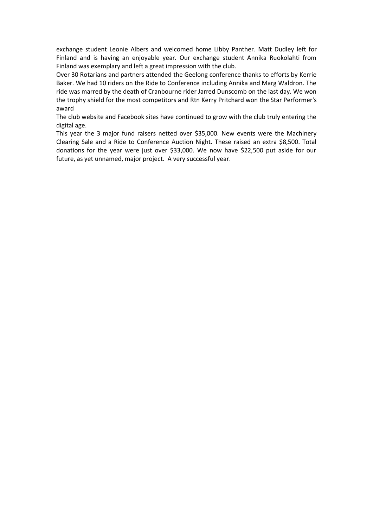exchange student Leonie Albers and welcomed home Libby Panther. Matt Dudley left for Finland and is having an enjoyable year. Our exchange student Annika Ruokolahti from Finland was exemplary and left a great impression with the club.

Over 30 Rotarians and partners attended the Geelong conference thanks to efforts by Kerrie Baker. We had 10 riders on the Ride to Conference including Annika and Marg Waldron. The ride was marred by the death of Cranbourne rider Jarred Dunscomb on the last day. We won the trophy shield for the most competitors and Rtn Kerry Pritchard won the Star Performer's award

The club website and Facebook sites have continued to grow with the club truly entering the digital age.

This year the 3 major fund raisers netted over \$35,000. New events were the Machinery Clearing Sale and a Ride to Conference Auction Night. These raised an extra \$8,500. Total donations for the year were just over \$33,000. We now have \$22,500 put aside for our future, as yet unnamed, major project. A very successful year.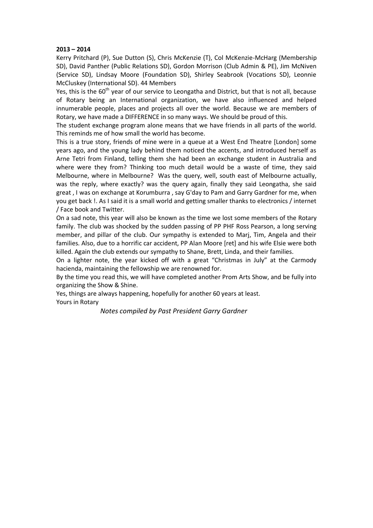#### **2013 – 2014**

Kerry Pritchard (P), Sue Dutton (S), Chris McKenzie (T), Col McKenzie-McHarg (Membership SD), David Panther (Public Relations SD), Gordon Morrison (Club Admin & PE), Jim McNiven (Service SD), Lindsay Moore (Foundation SD), Shirley Seabrook (Vocations SD), Leonnie McCluskey (International SD). 44 Members

Yes, this is the  $60<sup>th</sup>$  year of our service to Leongatha and District, but that is not all, because of Rotary being an International organization, we have also influenced and helped innumerable people, places and projects all over the world. Because we are members of Rotary, we have made a DIFFERENCE in so many ways. We should be proud of this.

The student exchange program alone means that we have friends in all parts of the world. This reminds me of how small the world has become.

This is a true story, friends of mine were in a queue at a West End Theatre [London] some years ago, and the young lady behind them noticed the accents, and introduced herself as Arne Tetri from Finland, telling them she had been an exchange student in Australia and where were they from? Thinking too much detail would be a waste of time, they said Melbourne, where in Melbourne? Was the query, well, south east of Melbourne actually, was the reply, where exactly? was the query again, finally they said Leongatha, she said great , I was on exchange at Korumburra , say G'day to Pam and Garry Gardner for me, when you get back !. As I said it is a small world and getting smaller thanks to electronics / internet / Face book and Twitter.

On a sad note, this year will also be known as the time we lost some members of the Rotary family. The club was shocked by the sudden passing of PP PHF Ross Pearson, a long serving member, and pillar of the club. Our sympathy is extended to Marj, Tim, Angela and their families. Also, due to a horrific car accident, PP Alan Moore [ret] and his wife Elsie were both killed. Again the club extends our sympathy to Shane, Brett, Linda, and their families.

On a lighter note, the year kicked off with a great "Christmas in July" at the Carmody hacienda, maintaining the fellowship we are renowned for.

By the time you read this, we will have completed another Prom Arts Show, and be fully into organizing the Show & Shine.

Yes, things are always happening, hopefully for another 60 years at least. Yours in Rotary

 *Notes compiled by Past President Garry Gardner*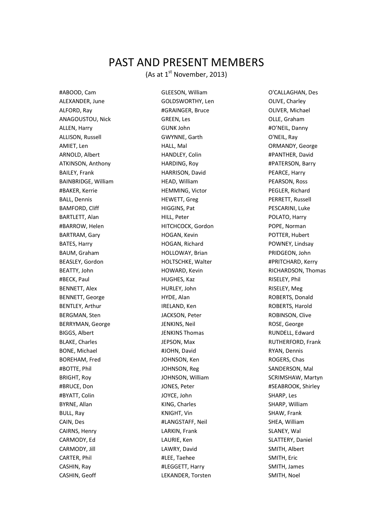### PAST AND PRESENT MEMBERS

(As at  $1^{\text{st}}$  November, 2013)

ALEXANDER, June GOLDSWORTHY, Len OLIVE, Charley ALFORD, Ray #GRAINGER, Bruce OLIVER, Michael ANAGOUSTOU, Nick GREEN, Les GREEN, Les CLLE, Graham ALLEN, Harry GUNK John #O'NEIL, Danny ALLISON, Russell **GWYNNE, Garth** Charth Communist Communist Communist Communist Communist Communist Communist Communist Communist Communist Communist Communist Communist Communist Communist Communist Communist Communist Co AMIET, Len **Example 2018** HALL, Mal **CONTENT AMIET, Len** ORMANDY, George ARNOLD, Albert **HANDLEY, Colin HANDLEY, Colin #PANTHER, David** ATKINSON, Anthony **HARDING, Roy Fig. 2018** #PATERSON, Barry BAILEY, Frank **HARRISON, David** PEARCE, Harry BAINBRIDGE, William **HEAD, William HEAD, William** PEARSON, Ross #BAKER, Kerrie HEMMING, Victor PEGLER, Richard BALL, Dennis **Example 20 THEWETT, Greg PERRETT, Russell** PERRETT, Russell BAMFORD, Cliff **HIGGINS, Pat PESCARINI, Luke** BARTLETT, Alan **Martia According to Hill**, Peter Poland Polato, Harry #BARROW, Helen HITCHCOCK, Gordon POPE, Norman BARTRAM, Gary **HOGAN, Kevin** POTTER, Hubert BATES, Harry **HOGAN, Richard POWNEY, Lindsay** HOGAN, Richard BAUM, Graham **HOLLOWAY, Brian** PRIDGEON, John BEASLEY, Gordon **HOLTSCHKE, Walter HOLTSCHKE, Walter #PRITCHARD, Kerry** BEATTY, John **HOWARD, Kevin** HOWARD, Kevin RICHARDSON, Thomas #BECK, Paul HUGHES, Kaz RISELEY, Phil BENNETT, Alex **Example 20 Football** HURLEY, John RISELEY, Meg BENNETT, George **HYDE, Alan** HYDE, Alan ROBERTS, Donald BENTLEY, Arthur **IRELAND, Ken IRELAND, Ken ISBENTS, Harold** BERGMAN, Sten The JACKSON, Peter The ROBINSON, Clive BERRYMAN, George JENKINS, Neil ROSE, George BIGGS, Albert **Galactic Control CONTEX STEET SERVICES** BIGGS, Albert Albert Albert Albert Albert Albert Albert Albert Albert Albert Albert Albert Albert Albert Albert Albert Albert Albert Albert Albert Albert Albert Albert BLAKE, Charles **Glaube Communist Communist Communist Communist Communist Communist Communist Communist Communist Communist Communist Communist Communist Communist Communist Communist Communist Communist Communist Communist** BONE, Michael #JOHN, David RYAN, Dennis BOREHAM, Fred **Same Communist Communist Communist Communist Communist Communist Communist Communist Communist Communist Communist Communist Communist Communist Communist Communist Communist Communist Communist Communist Co** #BOTTE, Phil JOHNSON, Reg SANDERSON, Mal BRIGHT, Roy **SCRIMSHAW, Martyn** JOHNSON, William SCRIMSHAW, Martyn #BRUCE, Don **Accord 10 SEABROOK, Shirley** JONES, Peter **Accord 2018** 2019 45EABROOK, Shirley #BYATT, Colin JOYCE, John SHARP, Les BYRNE, Allan Same Shares (States States SHARP, William SHARP, William Shares SHARP, William Shares Shares Shares Shares Shares Shares Shares Shares Shares Shares Shares Shares Shares Shares Shares Shares Shares Shares Shar BULL, Ray **Example 20 Inc. A SHAW, SHAW, Frank** KNIGHT, Vin SHAW, SHAW, Frank CAIN, Des **#LANGSTAFF, Neil** SHEA, William CAIRNS, Henry LARKIN, Frank SLANEY, Wal CARMODY, Ed **CARMOOY, Ed LAURIE, Ken** SLATTERY, Daniel CARMODY, Jill **SMITH, Albert** LAWRY, David SMITH, Albert CARTER, Phil #LEE, Taehee SMITH, Eric CASHIN, Ray #LEGGETT, Harry SMITH, James CASHIN, Geoff **LEKANDER, Torsten** SMITH, Noel

#ABOOD, Cam GLEESON, William O'CALLAGHAN, Des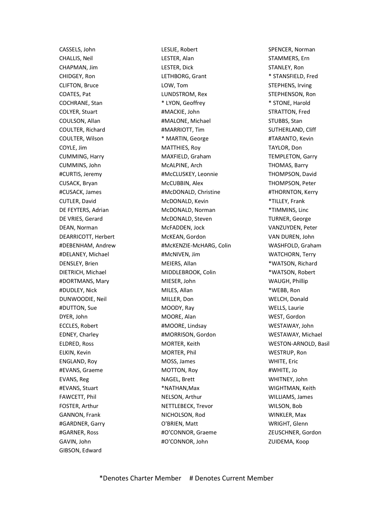GAVIN, John #O'CONNOR, John ZUIDEMA, Koop GIBSON, Edward

CASSELS, John **LESLIE, Robert SPENCER, Norman** CHALLIS, Neil **CHALLIS, Neil** LESTER, Alan STAMMERS, Ern CHAPMAN, Jim **LESTER, Dick** STANLEY, Ron CHIDGEY, Ron LETHBORG, Grant \* STANSFIELD, Fred CLIFTON, Bruce **LOW, Tom** CLIFTON, Bruce **CLIFTON**, Bruce **CLIFTON**, Bruce **CLIFTON**, Bruce **CLIFTON**, Bruce **CLIFTON**, Bruce **CLIFTON**, Bruce **CLIFTON**, Bruce **CLIFTON**, Bruce **CLIFTON**, Bruce **CLIFTON**, Bruce **CLIFTON**, COATES, Pat The Research COATES, Pat The LUNDSTROM, Rex STEPHENSON, Ron COCHRANE, Stan \* LYON, Geoffrey \* STONE, Harold COLYER, Stuart #MACKIE, John STRATTON, Fred COULSON, Allan #MALONE, Michael STUBBS, Stan COULTER, Richard **ALCOULTER, Richard MELLAND, Cliff** #MARRIOTT, Tim SUTHERLAND, Cliff COULTER, Wilson \* MARTIN, George #TARANTO, Kevin COYLE, Jim MATTHIES, Roy TAYLOR, Don CUMMING, Harry **MAXFIELD, Graham** TEMPLETON, Garry CUMMINS, John **MCALPINE, Arch** MCALPINE, Arch THOMAS, Barry #CURTIS, Jeremy #McCLUSKEY, Leonnie THOMPSON, David CUSACK, Bryan McCUBBIN, Alex THOMPSON, Peter #CUSACK, James #McDONALD, Christine #THORNTON, Kerry CUTLER, David **MCDONALD, Kevin** McDONALD, Kevin **\*TILLEY, Frank** DE FEYTERS, Adrian **MCDONALD, Norman 1996 1997 1998 1998 1998 1998 1998 1999 1999 1999 1999 1999 1999 1999 1999 1999 1999 1999 1999 1999 1999 1999 1999 1999 1999 1999 1** DE VRIES, Gerard **MCDONALD, Steven** McDONALD, Steven DEAN, Norman MCFADDEN, Jock VANZUYDEN, Peter DEARRICOTT, Herbert **McKEAN, Gordon** WAN DUREN, John #DEBENHAM, Andrew #McKENZIE-McHARG, Colin WASHFOLD, Graham #DELANEY, Michael #McNIVEN, Jim WATCHORN, Terry DENSLEY, Brien MEIERS, Allan MEIERS, Allan MEIERS, Allan MEIERS, Allan MEIERS, Allan MEIERS, Allan MEIERS, Allan DIETRICH, Michael MIDDLEBROOK, Colin \*WATSON, Robert #DORTMANS, Mary MIESER, John WAUGH, Phillip #DUDLEY, Nick MILES, Allan \*WEBB, Ron DUNWOODIE, Neil MILLER, Don WELCH, Donald #DUTTON, Sue MOODY, Ray WELLS, Laurie DYER, John MOORE, Alan WEST, Gordon ECCLES, Robert **#MOORE, Lindsay** WESTAWAY, John EDNEY, Charley #MORRISON, Gordon WESTAWAY, Michael ELDRED, Ross **MORTER, Keith WESTON-ARNOLD, Basil** ELKIN, Kevin **MORTER, Phil WESTRUP, Ron** MORTER, Phil WESTRUP, Ron ENGLAND, Roy MOSS, James WHITE, Eric #EVANS, Graeme MOTTON, Roy #WHITE, Jo EVANS, Reg NAGEL, Brett WHITNEY, John #EVANS, Stuart \*NATHAN,Max WIGHTMAN, Keith FAWCETT, Phil **NELSON, Arthur WILLIAMS, James** NELSON, Arthur WILLIAMS, James FOSTER, Arthur NETTLEBECK, Trevor NETTLEBECK, Trevor WILSON, Bob GANNON, Frank **NICHOLSON, Rod** WINKLER, Max #GARDNER, Garry O'BRIEN, Matt WRIGHT, Glenn #GARNER, Ross #O'CONNOR, Graeme ZEUSCHNER, Gordon